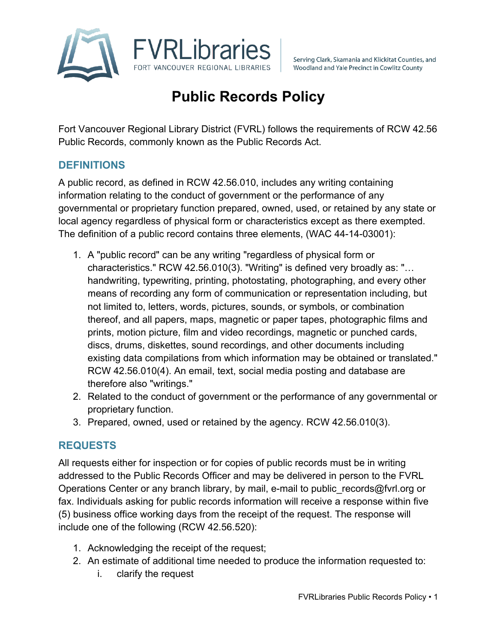

Serving Clark, Skamania and Klickitat Counties, and Woodland and Yale Precinct in Cowlitz County

# **Public Records Policy**

Fort Vancouver Regional Library District (FVRL) follows the requirements of RCW 42.56 Public Records, commonly known as the Public Records Act.

#### **DEFINITIONS**

A public record, as defined in RCW 42.56.010, includes any writing containing information relating to the conduct of government or the performance of any governmental or proprietary function prepared, owned, used, or retained by any state or local agency regardless of physical form or characteristics except as there exempted. The definition of a public record contains three elements, (WAC 44-14-03001):

- 1. A "public record" can be any writing "regardless of physical form or characteristics." RCW 42.56.010(3). "Writing" is defined very broadly as: "… handwriting, typewriting, printing, photostating, photographing, and every other means of recording any form of communication or representation including, but not limited to, letters, words, pictures, sounds, or symbols, or combination thereof, and all papers, maps, magnetic or paper tapes, photographic films and prints, motion picture, film and video recordings, magnetic or punched cards, discs, drums, diskettes, sound recordings, and other documents including existing data compilations from which information may be obtained or translated." RCW 42.56.010(4). An email, text, social media posting and database are therefore also "writings."
- 2. Related to the conduct of government or the performance of any governmental or proprietary function.
- 3. Prepared, owned, used or retained by the agency. RCW 42.56.010(3).

#### **REQUESTS**

All requests either for inspection or for copies of public records must be in writing addressed to the Public Records Officer and may be delivered in person to the FVRL Operations Center or any branch library, by mail, e-mail to public records@fvrl.org or fax. Individuals asking for public records information will receive a response within five (5) business office working days from the receipt of the request. The response will include one of the following (RCW 42.56.520):

- 1. Acknowledging the receipt of the request;
- 2. An estimate of additional time needed to produce the information requested to:
	- i. clarify the request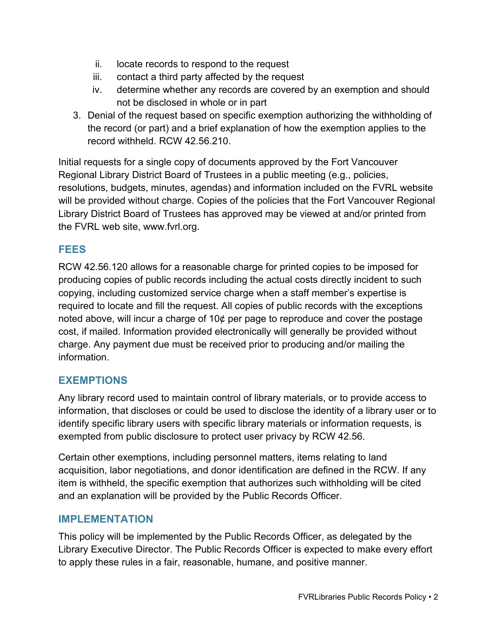- ii. locate records to respond to the request
- iii. contact a third party affected by the request
- iv. determine whether any records are covered by an exemption and should not be disclosed in whole or in part
- 3. Denial of the request based on specific exemption authorizing the withholding of the record (or part) and a brief explanation of how the exemption applies to the record withheld. RCW 42.56.210.

Initial requests for a single copy of documents approved by the Fort Vancouver Regional Library District Board of Trustees in a public meeting (e.g., policies, resolutions, budgets, minutes, agendas) and information included on the FVRL website will be provided without charge. Copies of the policies that the Fort Vancouver Regional Library District Board of Trustees has approved may be viewed at and/or printed from the FVRL web site, www.fvrl.org.

## **FEES**

RCW 42.56.120 allows for a reasonable charge for printed copies to be imposed for producing copies of public records including the actual costs directly incident to such copying, including customized service charge when a staff member's expertise is required to locate and fill the request. All copies of public records with the exceptions noted above, will incur a charge of 10¢ per page to reproduce and cover the postage cost, if mailed. Information provided electronically will generally be provided without charge. Any payment due must be received prior to producing and/or mailing the information.

## **EXEMPTIONS**

Any library record used to maintain control of library materials, or to provide access to information, that discloses or could be used to disclose the identity of a library user or to identify specific library users with specific library materials or information requests, is exempted from public disclosure to protect user privacy by RCW 42.56.

Certain other exemptions, including personnel matters, items relating to land acquisition, labor negotiations, and donor identification are defined in the RCW. If any item is withheld, the specific exemption that authorizes such withholding will be cited and an explanation will be provided by the Public Records Officer.

#### **IMPLEMENTATION**

This policy will be implemented by the Public Records Officer, as delegated by the Library Executive Director. The Public Records Officer is expected to make every effort to apply these rules in a fair, reasonable, humane, and positive manner.